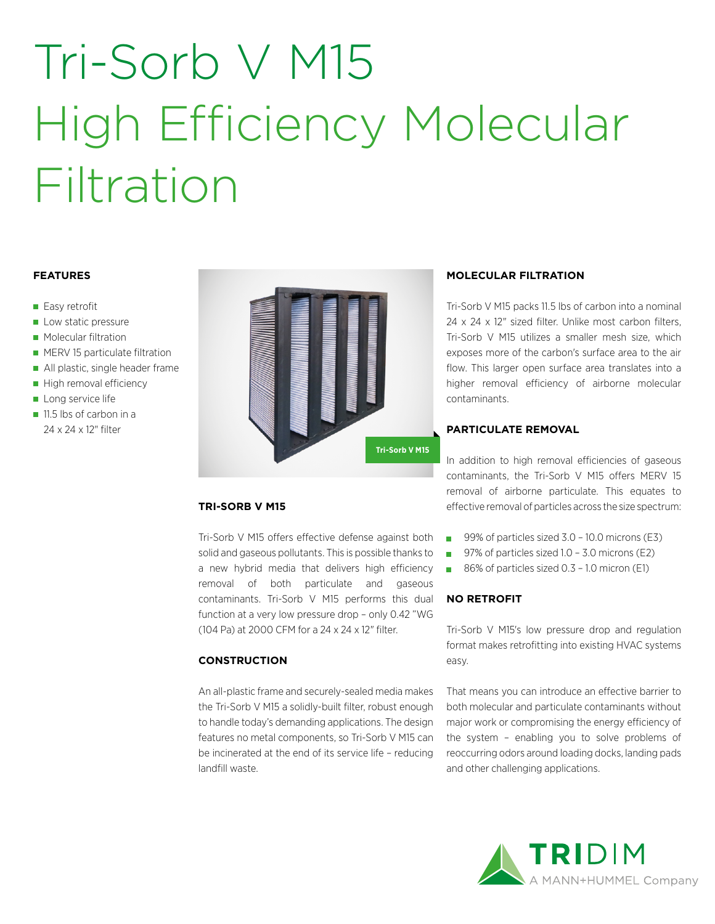# Tri-Sorb V M15 High Efficiency Molecular Filtration

### **FEATURES**

- Easy retrofit
- Low static pressure
- **Molecular filtration**
- **MERV 15 particulate filtration**
- All plastic, single header frame
- High removal efficiency
- Long service life
- 11.5 lbs of carbon in a 24 x 24 x 12" filter



### **TRI-SORB V M15**

Tri-Sorb V M15 offers effective defense against both solid and gaseous pollutants. This is possible thanks to a new hybrid media that delivers high efficiency removal of both particulate and gaseous contaminants. Tri-Sorb V M15 performs this dual function at a very low pressure drop – only 0.42 "WG (104 Pa) at 2000 CFM for a 24 x 24 x 12" filter.

### **CONSTRUCTION**

An all-plastic frame and securely-sealed media makes the Tri-Sorb V M15 a solidly-built filter, robust enough to handle today's demanding applications. The design features no metal components, so Tri-Sorb V M15 can be incinerated at the end of its service life – reducing landfill waste.

### **MOLECULAR FILTRATION**

Tri-Sorb V M15 packs 11.5 lbs of carbon into a nominal 24 x 24 x 12" sized filter. Unlike most carbon filters, Tri-Sorb V M15 utilizes a smaller mesh size, which exposes more of the carbon's surface area to the air flow. This larger open surface area translates into a higher removal efficiency of airborne molecular contaminants.

### **PARTICULATE REMOVAL**

In addition to high removal efficiencies of gaseous contaminants, the Tri-Sorb V M15 offers MERV 15 removal of airborne particulate. This equates to effective removal of particles across the size spectrum:

- 99% of particles sized 3.0 10.0 microns (E3)
- 97% of particles sized 1.0 3.0 microns (E2)
- $\mathcal{L}_{\mathcal{A}}$ 86% of particles sized 0.3 – 1.0 micron (E1)

### **NO RETROFIT**

Tri-Sorb V M15's low pressure drop and regulation format makes retrofitting into existing HVAC systems easy.

That means you can introduce an effective barrier to both molecular and particulate contaminants without major work or compromising the energy efficiency of the system – enabling you to solve problems of reoccurring odors around loading docks, landing pads and other challenging applications.